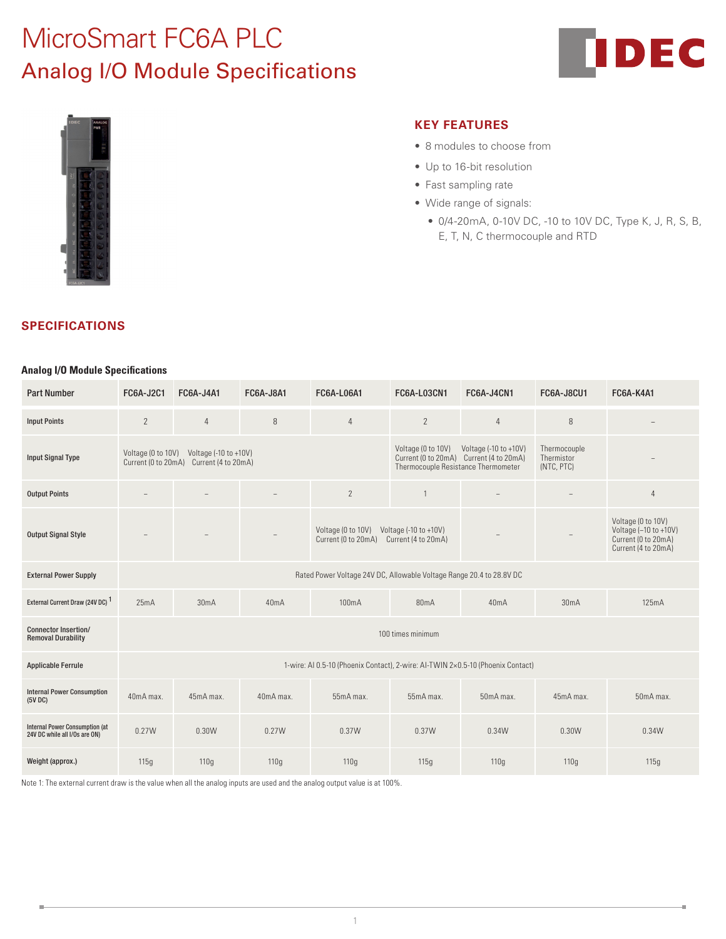# MicroSmart FC6A PLC Analog I/O Module Specifications





## **KEY FEATURES**

- 8 modules to choose from
- Up to 16-bit resolution
- Fast sampling rate
- Wide range of signals:
	- 0/4-20mA, 0-10V DC, -10 to 10V DC, Type K, J, R, S, B, E, T, N, C thermocouple and RTD

## **SPECIFICATIONS**

#### **Analog I/O Module Specifications**

| <b>Part Number</b>                                                     | <b>FC6A-J2C1</b>                                                                | <b>FC6A-J4A1</b>                                                                                        | <b>FC6A-J8A1</b>  | <b>FC6A-L06A1</b>                                             | <b>FC6A-L03CN1</b>                                                                                                            | FC6A-J4CN1                               | FC6A-J8CU1 | FC6A-K4A1                                                                                 |
|------------------------------------------------------------------------|---------------------------------------------------------------------------------|---------------------------------------------------------------------------------------------------------|-------------------|---------------------------------------------------------------|-------------------------------------------------------------------------------------------------------------------------------|------------------------------------------|------------|-------------------------------------------------------------------------------------------|
| <b>Input Points</b>                                                    | $\overline{2}$                                                                  | $\overline{4}$                                                                                          | 8                 | $\overline{4}$                                                | $\overline{2}$                                                                                                                | $\overline{4}$                           | 8          |                                                                                           |
| <b>Input Signal Type</b>                                               |                                                                                 | Voltage (0 to 10V) Voltage $(-10 \text{ to } +10 \text{ V})$<br>Current (0 to 20mA) Current (4 to 20mA) |                   |                                                               | Voltage (0 to 10V)<br>Voltage (-10 to +10V)<br>Current (0 to 20mA) Current (4 to 20mA)<br>Thermocouple Resistance Thermometer | Thermocouple<br>Thermistor<br>(NTC, PTC) |            |                                                                                           |
| <b>Output Points</b>                                                   |                                                                                 |                                                                                                         |                   | $\overline{2}$                                                | $\mathbf{1}$                                                                                                                  |                                          |            | $\overline{4}$                                                                            |
| <b>Output Signal Style</b>                                             |                                                                                 |                                                                                                         |                   | Voltage (0 to 10V)<br>Current (0 to 20mA) Current (4 to 20mA) | Voltage (-10 to +10V)                                                                                                         |                                          |            | Voltage (0 to 10V)<br>Voltage (-10 to +10V)<br>Current (0 to 20mA)<br>Current (4 to 20mA) |
| <b>External Power Supply</b>                                           | Rated Power Voltage 24V DC, Allowable Voltage Range 20.4 to 28.8V DC            |                                                                                                         |                   |                                                               |                                                                                                                               |                                          |            |                                                                                           |
| External Current Draw (24V DC) <sup>1</sup>                            | 25mA                                                                            | 30mA                                                                                                    | 40 <sub>m</sub> A | 100 <sub>m</sub> A                                            | 80mA                                                                                                                          | 40mA                                     | 30mA       | 125mA                                                                                     |
| <b>Connector Insertion/</b><br><b>Removal Durability</b>               | 100 times minimum                                                               |                                                                                                         |                   |                                                               |                                                                                                                               |                                          |            |                                                                                           |
| <b>Applicable Ferrule</b>                                              | 1-wire: AI 0.5-10 (Phoenix Contact), 2-wire: AI-TWIN 2×0.5-10 (Phoenix Contact) |                                                                                                         |                   |                                                               |                                                                                                                               |                                          |            |                                                                                           |
| <b>Internal Power Consumption</b><br>(5VDC)                            | 40mA max.                                                                       | 45mA max.                                                                                               | 40mA max.         | 55mA max.                                                     | 55mA max.                                                                                                                     | 50mA max.                                | 45mA max.  | $50mA$ max.                                                                               |
| <b>Internal Power Consumption (at</b><br>24V DC while all I/Os are ON) | 0.27W                                                                           | 0.30W                                                                                                   | 0.27W             | 0.37W                                                         | 0.37W                                                                                                                         | 0.34W                                    | 0.30W      | 0.34W                                                                                     |
| Weight (approx.)                                                       | 115q                                                                            | 110 <sub>g</sub>                                                                                        | 110q              | 110g                                                          | 115g                                                                                                                          | 110q                                     | 110q       | 115g                                                                                      |

Note 1: The external current draw is the value when all the analog inputs are used and the analog output value is at 100%.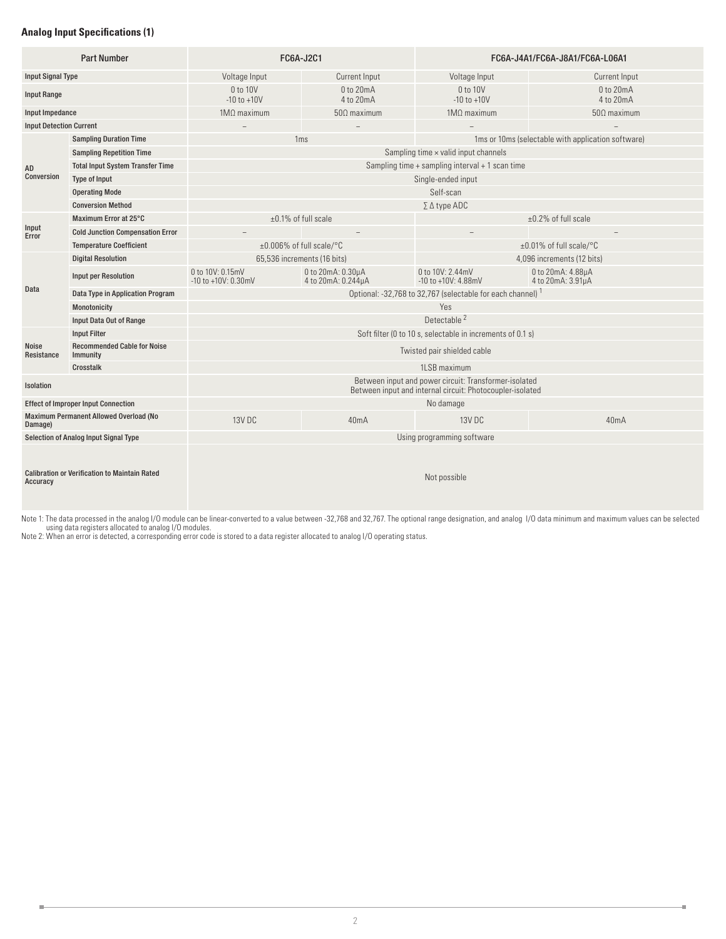#### **Analog Input Specifications (1)**

| <b>Part Number</b>                                               |                                                | FC6A-J2C1                                                                                                          |                                                        | FC6A-J4A1/FC6A-J8A1/FC6A-L06A1          |                                        |  |  |  |  |
|------------------------------------------------------------------|------------------------------------------------|--------------------------------------------------------------------------------------------------------------------|--------------------------------------------------------|-----------------------------------------|----------------------------------------|--|--|--|--|
| <b>Input Signal Type</b>                                         |                                                | Voltage Input                                                                                                      | Current Input                                          | Voltage Input                           | Current Input                          |  |  |  |  |
| <b>Input Range</b>                                               |                                                | 0 to 10V<br>$-10$ to $+10V$                                                                                        | 0 to 20mA<br>4 to 20mA                                 | 0 to 10V<br>$-10$ to $+10V$             | 0 to 20mA<br>4 to 20mA                 |  |  |  |  |
| Input Impedance                                                  |                                                | $1M\Omega$ maximum                                                                                                 | $50\Omega$ maximum                                     | $1M\Omega$ maximum                      | $50\Omega$ maximum                     |  |  |  |  |
| <b>Input Detection Current</b>                                   |                                                |                                                                                                                    |                                                        |                                         |                                        |  |  |  |  |
|                                                                  | <b>Sampling Duration Time</b>                  | 1ms or 10ms (selectable with application software)<br>1 <sub>ms</sub>                                              |                                                        |                                         |                                        |  |  |  |  |
|                                                                  | <b>Sampling Repetition Time</b>                | Sampling time $\times$ valid input channels                                                                        |                                                        |                                         |                                        |  |  |  |  |
| AD                                                               | <b>Total Input System Transfer Time</b>        | Sampling time + sampling interval + 1 scan time                                                                    |                                                        |                                         |                                        |  |  |  |  |
| Conversion                                                       | Type of Input                                  | Single-ended input                                                                                                 |                                                        |                                         |                                        |  |  |  |  |
|                                                                  | <b>Operating Mode</b>                          | Self-scan                                                                                                          |                                                        |                                         |                                        |  |  |  |  |
|                                                                  | <b>Conversion Method</b>                       | $\Sigma \Delta$ type ADC                                                                                           |                                                        |                                         |                                        |  |  |  |  |
|                                                                  | Maximum Error at 25°C                          |                                                                                                                    | $\pm 0.1\%$ of full scale<br>$\pm 0.2$ % of full scale |                                         |                                        |  |  |  |  |
| Input<br>Error                                                   | <b>Cold Junction Compensation Error</b>        |                                                                                                                    | $\overline{\phantom{m}}$                               |                                         | $\overline{\phantom{a}}$               |  |  |  |  |
|                                                                  | <b>Temperature Coefficient</b>                 | ±0.006% of full scale/°C                                                                                           |                                                        | $\pm 0.01\%$ of full scale/°C           |                                        |  |  |  |  |
|                                                                  | <b>Digital Resolution</b>                      | 65,536 increments (16 bits)                                                                                        |                                                        | 4,096 increments (12 bits)              |                                        |  |  |  |  |
|                                                                  | <b>Input per Resolution</b>                    | 0 to 10V: 0.15mV<br>$-10$ to $+10V$ : 0.30mV                                                                       | 0 to 20mA: 0.30µA<br>4 to 20mA: 0.244µA                | 0 to 10V: 2.44mV<br>-10 to +10V: 4.88mV | 0 to 20mA: 4.88µA<br>4 to 20mA: 3.91µA |  |  |  |  |
| Data                                                             | Data Type in Application Program               | Optional: -32,768 to 32,767 (selectable for each channel) <sup>1</sup>                                             |                                                        |                                         |                                        |  |  |  |  |
|                                                                  | Monotonicity                                   | Yes                                                                                                                |                                                        |                                         |                                        |  |  |  |  |
|                                                                  | Input Data Out of Range                        | Detectable <sup>2</sup>                                                                                            |                                                        |                                         |                                        |  |  |  |  |
|                                                                  | <b>Input Filter</b>                            | Soft filter (0 to 10 s, selectable in increments of 0.1 s)                                                         |                                                        |                                         |                                        |  |  |  |  |
| <b>Noise</b><br>Resistance                                       | <b>Recommended Cable for Noise</b><br>Immunity | Twisted pair shielded cable                                                                                        |                                                        |                                         |                                        |  |  |  |  |
|                                                                  | Crosstalk                                      | 1LSB maximum                                                                                                       |                                                        |                                         |                                        |  |  |  |  |
| <b>Isolation</b>                                                 |                                                | Between input and power circuit: Transformer-isolated<br>Between input and internal circuit: Photocoupler-isolated |                                                        |                                         |                                        |  |  |  |  |
| <b>Effect of Improper Input Connection</b>                       |                                                | No damage                                                                                                          |                                                        |                                         |                                        |  |  |  |  |
| Maximum Permanent Allowed Overload (No<br>Damage)                |                                                | 13V DC                                                                                                             | 40mA                                                   | 13V DC                                  | 40 <sub>m</sub> A                      |  |  |  |  |
| Selection of Analog Input Signal Type                            |                                                | Using programming software                                                                                         |                                                        |                                         |                                        |  |  |  |  |
| <b>Calibration or Verification to Maintain Rated</b><br>Accuracy |                                                | Not possible                                                                                                       |                                                        |                                         |                                        |  |  |  |  |

Note 1: The data processed in the analog I/O module can be linear-converted to a value between -32,768 and 32,767. The optional range designation, and analog I/O data minimum and maximum values can be selected<br>using data r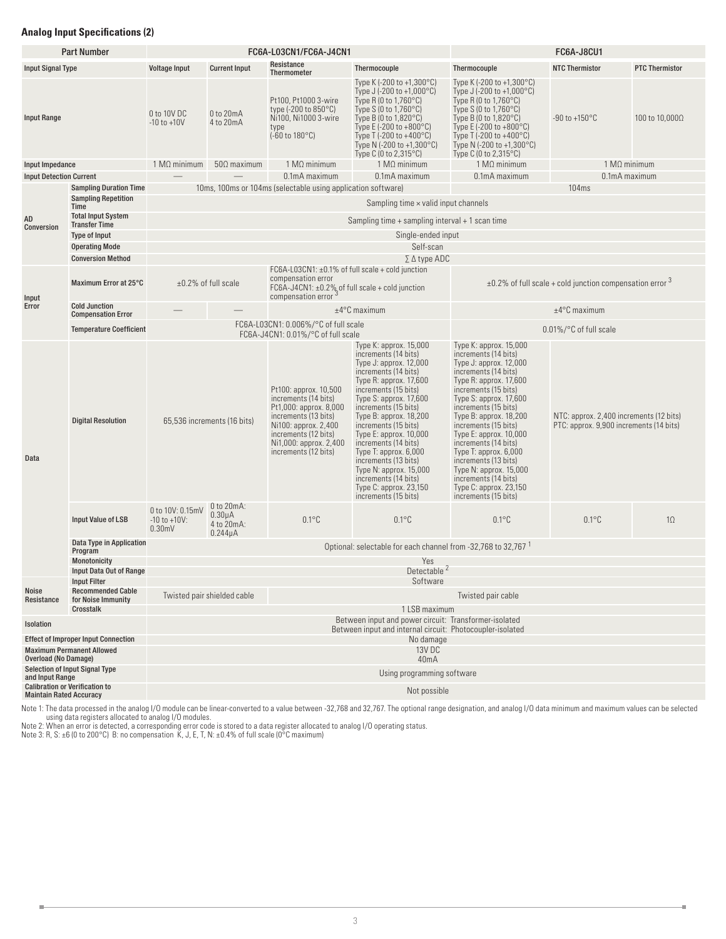#### **Analog Input Specifications (2)**

| <b>Part Number</b>                                                             |                                                                                           |                                                                                                                      |                                                         | FC6A-L03CN1/FC6A-J4CN1                                                                                                                                                                            | FC6A-J8CU1                                                                                                                                                                                                                                                                                                                                                                                                                                                    |                                                                                                                                                                                                                                                                                                                                                                                                                                                                                                                                                     |                           |                       |  |  |
|--------------------------------------------------------------------------------|-------------------------------------------------------------------------------------------|----------------------------------------------------------------------------------------------------------------------|---------------------------------------------------------|---------------------------------------------------------------------------------------------------------------------------------------------------------------------------------------------------|---------------------------------------------------------------------------------------------------------------------------------------------------------------------------------------------------------------------------------------------------------------------------------------------------------------------------------------------------------------------------------------------------------------------------------------------------------------|-----------------------------------------------------------------------------------------------------------------------------------------------------------------------------------------------------------------------------------------------------------------------------------------------------------------------------------------------------------------------------------------------------------------------------------------------------------------------------------------------------------------------------------------------------|---------------------------|-----------------------|--|--|
| Input Signal Type                                                              |                                                                                           | <b>Voltage Input</b>                                                                                                 | <b>Current Input</b>                                    | Resistance<br>Thermometer                                                                                                                                                                         | Thermocouple                                                                                                                                                                                                                                                                                                                                                                                                                                                  | Thermocouple                                                                                                                                                                                                                                                                                                                                                                                                                                                                                                                                        | <b>NTC Thermistor</b>     | <b>PTC Thermistor</b> |  |  |
| <b>Input Range</b>                                                             |                                                                                           | 0 to 10V DC<br>$-10$ to $+10V$                                                                                       | 0 to 20mA<br>4 to 20mA                                  | Pt100, Pt1000 3-wire<br>type (-200 to $850^{\circ}$ C)<br>Ni100, Ni1000 3-wire<br>type<br>$(-60 \text{ to } 180^{\circ} \text{C})$                                                                | Type K (-200 to +1,300 $^{\circ}$ C)<br>Type J (-200 to +1,000 $^{\circ}$ C)<br>Type R (0 to $1,760^{\circ}$ C)<br>Type S (0 to $1,760^{\circ}$ C)<br>Type B (0 to $1,820^{\circ}$ C)<br>Type E (-200 to +800 $^{\circ}$ C)<br>Type T (-200 to +400 $^{\circ}$ C)<br>Type N (-200 to +1,300 $^{\circ}$ C)<br>Type C (0 to $2,315^{\circ}$ C)                                                                                                                  | Type K (-200 to +1,300 $^{\circ}$ C)<br>Type J (-200 to +1,000 $^{\circ}$ C)<br>Type R (0 to 1,760 $^{\circ}$ C)<br>Type S (0 to 1,760 $^{\circ}$ C)<br>Type B (0 to $1,820^{\circ}$ C)<br>Type E (-200 to +800 $^{\circ}$ C)<br>Type T (-200 to +400 $^{\circ}$ C)<br>Type N (-200 to +1,300 $^{\circ}$ C)<br>Type C (0 to 2,315 $^{\circ}$ C)                                                                                                                                                                                                     | $-90$ to $+150^{\circ}$ C | 100 to 10,000Ω        |  |  |
| Input Impedance                                                                |                                                                                           | $1 M\Omega$ minimum                                                                                                  | $50\Omega$ maximum                                      | $1 M\Omega$ minimum                                                                                                                                                                               | $1 MΩ$ minimum                                                                                                                                                                                                                                                                                                                                                                                                                                                | $1 M\Omega$ minimum                                                                                                                                                                                                                                                                                                                                                                                                                                                                                                                                 | $1 M\Omega$ minimum       |                       |  |  |
| <b>Input Detection Current</b>                                                 |                                                                                           |                                                                                                                      | 0.1mA maximum                                           |                                                                                                                                                                                                   | 0.1mA maximum                                                                                                                                                                                                                                                                                                                                                                                                                                                 | 0.1mA maximum                                                                                                                                                                                                                                                                                                                                                                                                                                                                                                                                       | 0.1mA maximum             |                       |  |  |
|                                                                                | <b>Sampling Duration Time</b><br><b>Sampling Repetition</b><br>Time                       | 10ms, 100ms or 104ms (selectable using application software)<br>104ms<br>Sampling time $\times$ valid input channels |                                                         |                                                                                                                                                                                                   |                                                                                                                                                                                                                                                                                                                                                                                                                                                               |                                                                                                                                                                                                                                                                                                                                                                                                                                                                                                                                                     |                           |                       |  |  |
| AD                                                                             | <b>Total Input System</b><br><b>Transfer Time</b>                                         | Sampling time $+$ sampling interval $+$ 1 scan time                                                                  |                                                         |                                                                                                                                                                                                   |                                                                                                                                                                                                                                                                                                                                                                                                                                                               |                                                                                                                                                                                                                                                                                                                                                                                                                                                                                                                                                     |                           |                       |  |  |
| Conversion                                                                     | Type of Input                                                                             | Single-ended input                                                                                                   |                                                         |                                                                                                                                                                                                   |                                                                                                                                                                                                                                                                                                                                                                                                                                                               |                                                                                                                                                                                                                                                                                                                                                                                                                                                                                                                                                     |                           |                       |  |  |
|                                                                                | <b>Operating Mode</b>                                                                     | Self-scan                                                                                                            |                                                         |                                                                                                                                                                                                   |                                                                                                                                                                                                                                                                                                                                                                                                                                                               |                                                                                                                                                                                                                                                                                                                                                                                                                                                                                                                                                     |                           |                       |  |  |
|                                                                                | <b>Conversion Method</b>                                                                  | $\Sigma \Delta$ type ADC                                                                                             |                                                         |                                                                                                                                                                                                   |                                                                                                                                                                                                                                                                                                                                                                                                                                                               |                                                                                                                                                                                                                                                                                                                                                                                                                                                                                                                                                     |                           |                       |  |  |
| Input<br>Error                                                                 | Maximum Error at 25°C                                                                     |                                                                                                                      | $\pm 0.2$ % of full scale                               | FC6A-L03CN1: $\pm$ 0.1% of full scale + cold junction<br>compensation error<br>FC6A-J4CN1: $\pm 0.2\%$ of full scale + cold junction<br>compensation error                                        |                                                                                                                                                                                                                                                                                                                                                                                                                                                               | $\pm$ 0.2% of full scale + cold junction compensation error 3                                                                                                                                                                                                                                                                                                                                                                                                                                                                                       |                           |                       |  |  |
|                                                                                | <b>Cold Junction</b><br><b>Compensation Error</b>                                         |                                                                                                                      |                                                         | $±4°C$ maximum                                                                                                                                                                                    |                                                                                                                                                                                                                                                                                                                                                                                                                                                               | $±4^{\circ}$ C maximum                                                                                                                                                                                                                                                                                                                                                                                                                                                                                                                              |                           |                       |  |  |
|                                                                                | <b>Temperature Coefficient</b>                                                            |                                                                                                                      |                                                         | FC6A-L03CN1: 0.006%/°C of full scale<br>FC6A-J4CN1: 0.01%/°C of full scale                                                                                                                        | 0.01%/°C of full scale                                                                                                                                                                                                                                                                                                                                                                                                                                        |                                                                                                                                                                                                                                                                                                                                                                                                                                                                                                                                                     |                           |                       |  |  |
| Data                                                                           | <b>Digital Resolution</b>                                                                 | 65,536 increments (16 bits)                                                                                          |                                                         | Pt100: approx. 10,500<br>increments (14 bits)<br>Pt1,000: approx. 8,000<br>increments (13 bits)<br>Ni100: approx. 2,400<br>increments (12 bits)<br>Ni1,000: approx. 2,400<br>increments (12 bits) | Type K: approx. 15,000<br>increments (14 bits)<br>Type J: approx. 12,000<br>increments (14 bits)<br>Type R: approx. 17,600<br>increments (15 bits)<br>Type S: approx. 17,600<br>increments (15 bits)<br>Type B: approx. 18,200<br>increments (15 bits)<br>Type E: approx. 10,000<br>increments (14 bits)<br>Type T: approx. 6,000<br>increments (13 bits)<br>Type N: approx. 15,000<br>increments (14 bits)<br>Type C: approx. 23,150<br>increments (15 bits) | Type K: approx. 15,000<br>increments (14 bits)<br>Type J: approx. 12,000<br>increments (14 bits)<br>Type R: approx. 17,600<br>increments (15 bits)<br>Type S: approx. 17,600<br>increments (15 bits)<br>Type B: approx. 18,200<br>NTC: approx. 2,400 increments (12 bits)<br>increments (15 bits)<br>PTC: approx. 9,900 increments (14 bits)<br>Type E: approx. 10,000<br>increments (14 bits)<br>Type T: approx. 6,000<br>increments (13 bits)<br>Type N: approx. 15,000<br>increments (14 bits)<br>Type C: approx. 23,150<br>increments (15 bits) |                           |                       |  |  |
|                                                                                | <b>Input Value of LSB</b>                                                                 | 0 to 10V: 0.15mV<br>$-10$ to $+10V$ :<br>0.30mV                                                                      | 0 to 20mA:<br>$0.30\mu A$<br>4 to 20mA:<br>$0.244\mu A$ | $0.1^{\circ}$ C                                                                                                                                                                                   | $0.1^{\circ}$ C                                                                                                                                                                                                                                                                                                                                                                                                                                               | $0.1^{\circ}$ C                                                                                                                                                                                                                                                                                                                                                                                                                                                                                                                                     | $0.1^{\circ}$ C           | $1\Omega$             |  |  |
|                                                                                | Data Type in Application<br>Program                                                       | Optional: selectable for each channel from -32,768 to 32,767                                                         |                                                         |                                                                                                                                                                                                   |                                                                                                                                                                                                                                                                                                                                                                                                                                                               |                                                                                                                                                                                                                                                                                                                                                                                                                                                                                                                                                     |                           |                       |  |  |
|                                                                                | Monotonicity                                                                              |                                                                                                                      |                                                         |                                                                                                                                                                                                   |                                                                                                                                                                                                                                                                                                                                                                                                                                                               |                                                                                                                                                                                                                                                                                                                                                                                                                                                                                                                                                     |                           |                       |  |  |
|                                                                                | Input Data Out of Range                                                                   | Detectable <sup>2</sup>                                                                                              |                                                         |                                                                                                                                                                                                   |                                                                                                                                                                                                                                                                                                                                                                                                                                                               |                                                                                                                                                                                                                                                                                                                                                                                                                                                                                                                                                     |                           |                       |  |  |
| Noise<br>Resistance                                                            | <b>Input Filter</b><br><b>Recommended Cable</b><br>for Noise Immunity<br><b>Crosstalk</b> | Software<br>Twisted pair shielded cable<br>Twisted pair cable                                                        |                                                         |                                                                                                                                                                                                   |                                                                                                                                                                                                                                                                                                                                                                                                                                                               |                                                                                                                                                                                                                                                                                                                                                                                                                                                                                                                                                     |                           |                       |  |  |
| Isolation                                                                      |                                                                                           |                                                                                                                      |                                                         |                                                                                                                                                                                                   | 1 LSB maximum<br>Between input and power circuit: Transformer-isolated                                                                                                                                                                                                                                                                                                                                                                                        |                                                                                                                                                                                                                                                                                                                                                                                                                                                                                                                                                     |                           |                       |  |  |
|                                                                                |                                                                                           | Between input and internal circuit: Photocoupler-isolated<br>No damage                                               |                                                         |                                                                                                                                                                                                   |                                                                                                                                                                                                                                                                                                                                                                                                                                                               |                                                                                                                                                                                                                                                                                                                                                                                                                                                                                                                                                     |                           |                       |  |  |
| <b>Effect of Improper Input Connection</b><br><b>Maximum Permanent Allowed</b> |                                                                                           | <b>13V DC</b>                                                                                                        |                                                         |                                                                                                                                                                                                   |                                                                                                                                                                                                                                                                                                                                                                                                                                                               |                                                                                                                                                                                                                                                                                                                                                                                                                                                                                                                                                     |                           |                       |  |  |
| <b>Overload (No Damage)</b><br><b>Selection of Input Signal Type</b>           |                                                                                           | 40 <sub>m</sub> A                                                                                                    |                                                         |                                                                                                                                                                                                   |                                                                                                                                                                                                                                                                                                                                                                                                                                                               |                                                                                                                                                                                                                                                                                                                                                                                                                                                                                                                                                     |                           |                       |  |  |
| and Input Range                                                                |                                                                                           | Using programming software                                                                                           |                                                         |                                                                                                                                                                                                   |                                                                                                                                                                                                                                                                                                                                                                                                                                                               |                                                                                                                                                                                                                                                                                                                                                                                                                                                                                                                                                     |                           |                       |  |  |
| <b>Calibration or Verification to</b><br><b>Maintain Rated Accuracy</b>        |                                                                                           | Not possible                                                                                                         |                                                         |                                                                                                                                                                                                   |                                                                                                                                                                                                                                                                                                                                                                                                                                                               |                                                                                                                                                                                                                                                                                                                                                                                                                                                                                                                                                     |                           |                       |  |  |

Note 1: The data processed in the analog I/O module can be linear-converted to a value between -32,768 and 32,767. The optional range designation, and analog I/O data minimum and maximum values can be selected<br>Wore 2: When